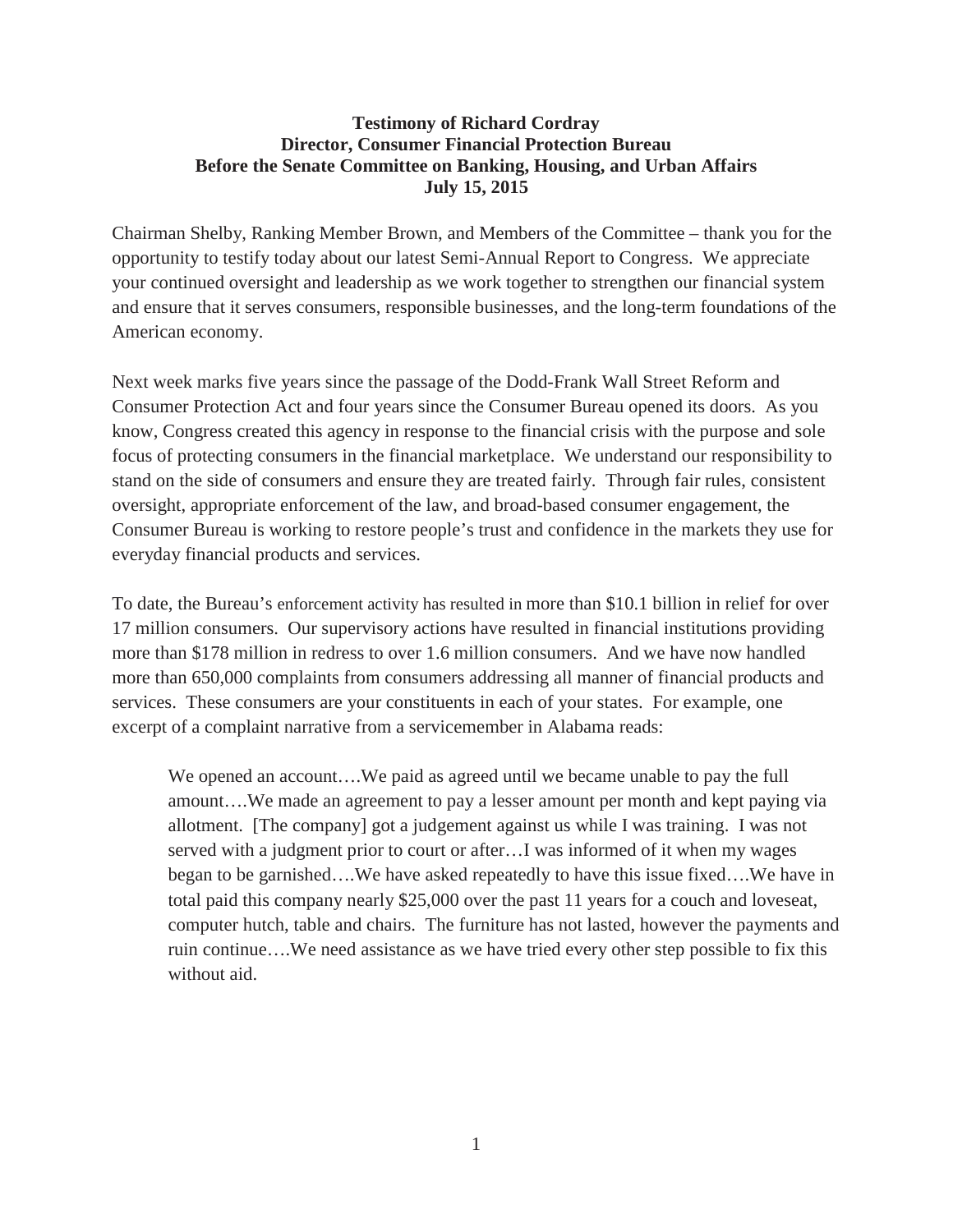## **Testimony of Richard Cordray Director, Consumer Financial Protection Bureau Before the Senate Committee on Banking, Housing, and Urban Affairs July 15, 2015**

Chairman Shelby, Ranking Member Brown, and Members of the Committee – thank you for the opportunity to testify today about our latest Semi-Annual Report to Congress. We appreciate your continued oversight and leadership as we work together to strengthen our financial system and ensure that it serves consumers, responsible businesses, and the long-term foundations of the American economy.

Next week marks five years since the passage of the Dodd-Frank Wall Street Reform and Consumer Protection Act and four years since the Consumer Bureau opened its doors. As you know, Congress created this agency in response to the financial crisis with the purpose and sole focus of protecting consumers in the financial marketplace. We understand our responsibility to stand on the side of consumers and ensure they are treated fairly. Through fair rules, consistent oversight, appropriate enforcement of the law, and broad-based consumer engagement, the Consumer Bureau is working to restore people's trust and confidence in the markets they use for everyday financial products and services.

To date, the Bureau's enforcement activity has resulted in more than \$10.1 billion in relief for over 17 million consumers. Our supervisory actions have resulted in financial institutions providing more than \$178 million in redress to over 1.6 million consumers. And we have now handled more than 650,000 complaints from consumers addressing all manner of financial products and services. These consumers are your constituents in each of your states. For example, one excerpt of a complaint narrative from a servicemember in Alabama reads:

We opened an account….We paid as agreed until we became unable to pay the full amount….We made an agreement to pay a lesser amount per month and kept paying via allotment. [The company] got a judgement against us while I was training. I was not served with a judgment prior to court or after…I was informed of it when my wages began to be garnished….We have asked repeatedly to have this issue fixed….We have in total paid this company nearly \$25,000 over the past 11 years for a couch and loveseat, computer hutch, table and chairs. The furniture has not lasted, however the payments and ruin continue….We need assistance as we have tried every other step possible to fix this without aid.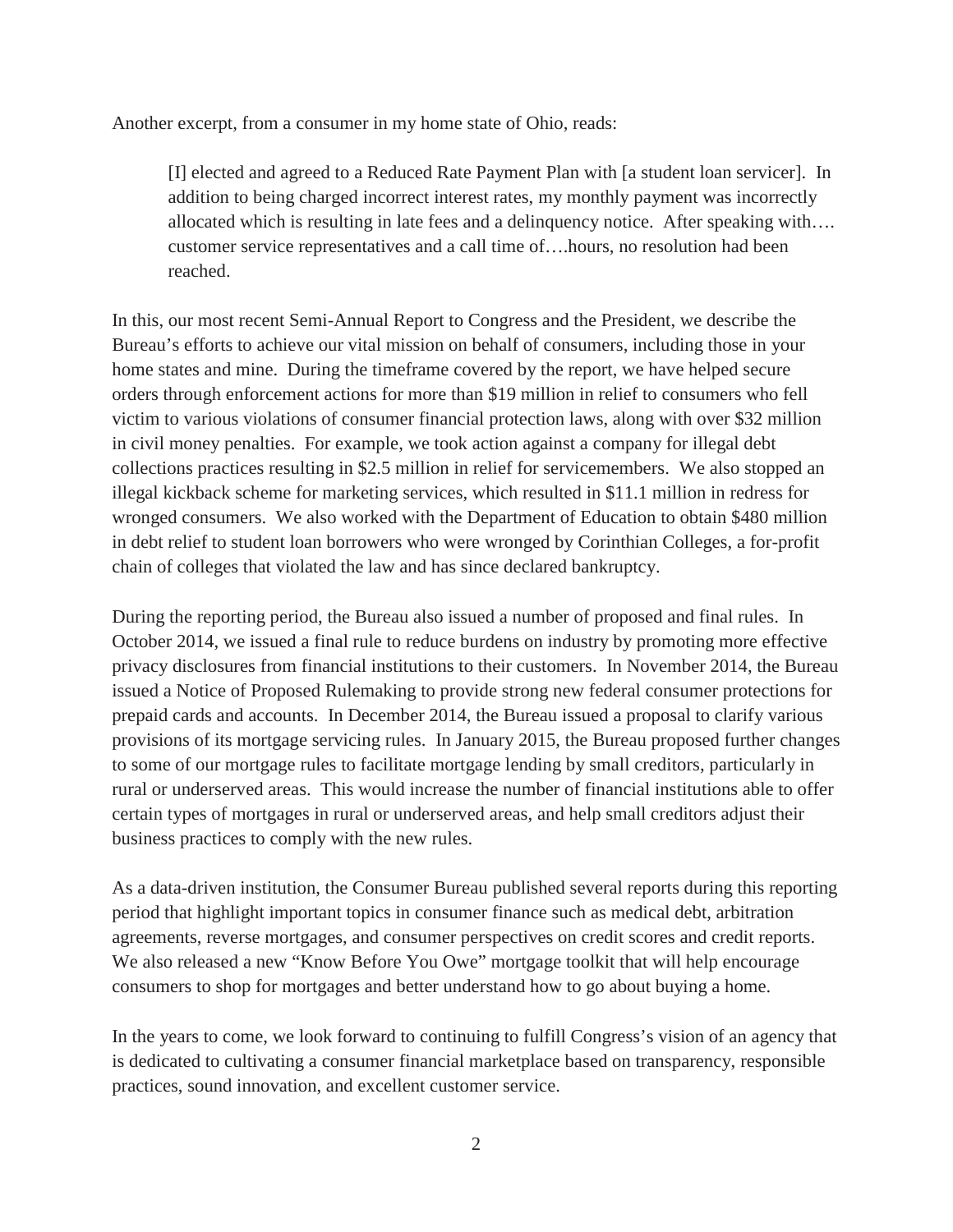Another excerpt, from a consumer in my home state of Ohio, reads:

[I] elected and agreed to a Reduced Rate Payment Plan with [a student loan servicer]. In addition to being charged incorrect interest rates, my monthly payment was incorrectly allocated which is resulting in late fees and a delinquency notice. After speaking with…. customer service representatives and a call time of….hours, no resolution had been reached.

In this, our most recent Semi-Annual Report to Congress and the President, we describe the Bureau's efforts to achieve our vital mission on behalf of consumers, including those in your home states and mine. During the timeframe covered by the report, we have helped secure orders through enforcement actions for more than \$19 million in relief to consumers who fell victim to various violations of consumer financial protection laws, along with over \$32 million in civil money penalties. For example, we took action against a company for illegal debt collections practices resulting in \$2.5 million in relief for servicemembers. We also stopped an illegal kickback scheme for marketing services, which resulted in \$11.1 million in redress for wronged consumers. We also worked with the Department of Education to obtain \$480 million in debt relief to student loan borrowers who were wronged by Corinthian Colleges, a for-profit chain of colleges that violated the law and has since declared bankruptcy.

During the reporting period, the Bureau also issued a number of proposed and final rules. In October 2014, we issued a final rule to reduce burdens on industry by promoting more effective privacy disclosures from financial institutions to their customers. In November 2014, the Bureau issued a Notice of Proposed Rulemaking to provide strong new federal consumer protections for prepaid cards and accounts. In December 2014, the Bureau issued a proposal to clarify various provisions of its mortgage servicing rules. In January 2015, the Bureau proposed further changes to some of our mortgage rules to facilitate mortgage lending by small creditors, particularly in rural or underserved areas. This would increase the number of financial institutions able to offer certain types of mortgages in rural or underserved areas, and help small creditors adjust their business practices to comply with the new rules.

As a data-driven institution, the Consumer Bureau published several reports during this reporting period that highlight important topics in consumer finance such as medical debt, arbitration agreements, reverse mortgages, and consumer perspectives on credit scores and credit reports. We also released a new "Know Before You Owe" mortgage toolkit that will help encourage consumers to shop for mortgages and better understand how to go about buying a home.

In the years to come, we look forward to continuing to fulfill Congress's vision of an agency that is dedicated to cultivating a consumer financial marketplace based on transparency, responsible practices, sound innovation, and excellent customer service.